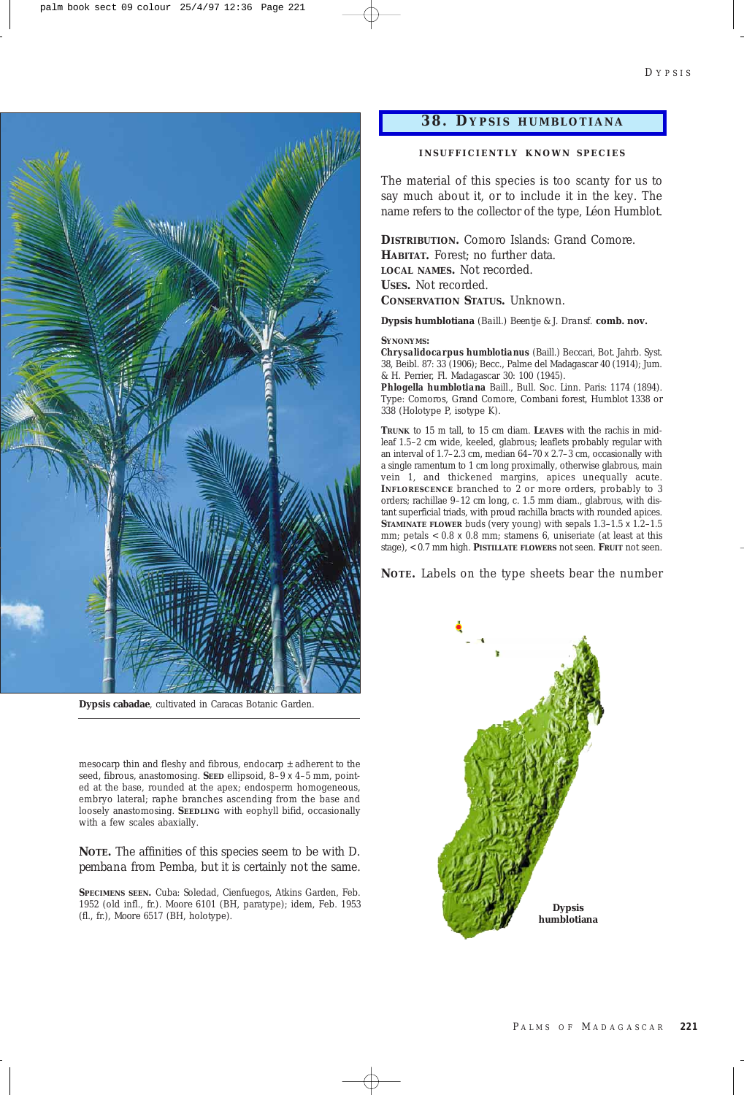

**Dypsis cabadae**, cultivated in Caracas Botanic Garden.

mesocarp thin and fleshy and fibrous, endocarp  $\pm$  adherent to the seed, fibrous, anastomosing. **SEED** ellipsoid, 8–9 x 4–5 mm, pointed at the base, rounded at the apex; endosperm homogeneous, embryo lateral; raphe branches ascending from the base and loosely anastomosing. **SEEDLING** with eophyll bifid, occasionally with a few scales abaxially.

**NOTE.** The affinities of this species seem to be with *D. pembana* from Pemba, but it is certainly not the same.

**SPECIMENS SEEN.** Cuba: Soledad, Cienfuegos, Atkins Garden, Feb. 1952 (old infl., fr.). *Moore* 6101 (BH, paratype); idem, Feb. 1953 (fl., fr.), *Moore* 6517 (BH, holotype).

## **38. D YPSIS HUMBLOTIANA**

## **INSUFFICIENTL Y KNOWN SPECIES**

The material of this species is too scanty for us to say much about it, or to include it in the key. The name refers to the collector of the type, Léon Humblot.

**DISTRIBUTION.** Comoro Islands: Grand Comore. **HABITAT.** Forest; no further data. **LOCAL NAMES.** Not recorded. **USES.** Not recorded. **CONSERVATION STATUS.** Unknown.

**Dypsis humblotiana** *(Baill.) Beentje & J. Dransf.* **comb. nov.**

## **SYNONYMS:**

*Chrysalidocarpus humblotianus* (Baill.) Beccari, Bot. Jahrb. Syst. 38, Beibl. 87: 33 (1906); Becc., Palme del Madagascar 40 (1914); Jum. & H. Perrier, Fl. Madagascar 30: 100 (1945).

*Phlogella humblotiana* Baill., Bull. Soc. Linn. Paris: 1174 (1894). Type: Comoros, Grand Comore, Combani forest, *Humblot* 1338 or 338 (Holotype P, isotype K).

**TRUNK** to 15 m tall, to 15 cm diam. **LEAVES** with the rachis in midleaf 1.5–2 cm wide, keeled, glabrous; leaflets probably regular with an interval of 1.7–2.3 cm, median 64–70 x 2.7–3 cm, occasionally with a single ramentum to 1 cm long proximally, otherwise glabrous, main vein 1, and thickened margins, apices unequally acute. **INFLORESCENCE** branched to 2 or more orders, probably to 3 orders; rachillae 9–12 cm long, c. 1.5 mm diam., glabrous, with distant superficial triads, with proud rachilla bracts with rounded apices. **STAMINATE FLOWER** buds (very young) with sepals  $1.3-1.5 \times 1.2-1.5$ mm; petals  $< 0.8 \times 0.8$  mm; stamens 6, uniseriate (at least at this stage), < 0.7 mm high. **PISTILLATE FLOWERS** not seen. **FRUIT** not seen.

**NOTE.** Labels on the type sheets bear the number